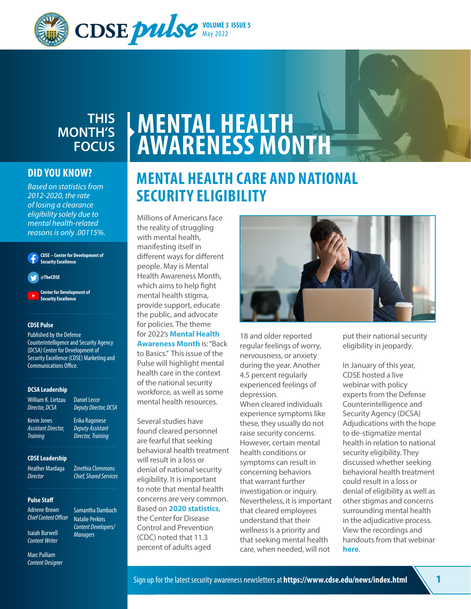

## **THIS MONTH'S FOCUS**

#### **DID YOU KNOW?**

*Based on statistics from 2012-2020, the rate of losing a clearance eligibility solely due to mental health-related reasons is only .00115%.*

**[CDSE – Center for Development of](https://www.facebook.com/TheCDSE/)  [Security Excellence](https://www.facebook.com/TheCDSE/)**

**[@TheCDSE](https://twitter.com/TheCDSE?ref_src=twsrc%5Egoogle%7Ctwcamp%5Eserp%7Ctwgr%5Eauthor)**

**[Center for Development of](https://www.youtube.com/channel/UC0TTI4kHF3unGpGWYGoflWA)  [Security Excellence](https://www.youtube.com/channel/UC0TTI4kHF3unGpGWYGoflWA)**

#### **CDSE Pulse**

Published by the Defense Counterintelligence and Security Agency (DCSA) Center for Development of Security Excellence (CDSE) Marketing and Communications Office.

> Daniel Lecce *Deputy Director, DCSA* Erika Ragonese *Deputy Assistant Director, Training*

Zinethia Clemmons *Chief, Shared Services*

Samantha Dambach Natalie Perkins *Content Developers/ Managers*

#### **DCSA Leadership**

William K. Lietzau *Director, DCSA*

Kevin Jones *Assistant Director, Training*

#### **CDSE Leadership**

Heather Mardaga *Director*

**Pulse Staff**

Adriene Brown *Chief Content Officer*

Isaiah Burwell *Content Writer* 

Marc Pulliam *Content Designer*

# **MENTAL HEALTH AWARENESS MONTH**

## **MENTAL HEALTH CARE AND NATIONAL SECURITY ELIGIBILITY**

Millions of Americans face the reality of struggling with mental health, manifesting itself in different ways for different people. May is Mental Health Awareness Month, which aims to help fight mental health stigma, provide support, educate the public, and advocate for policies. The theme for 2022's **[Mental Health](https://www.mhanational.org/mental-health-month?fbclid=IwAR3poWigiNsmynZ_7bm_VIoxSZynA2GxmcKSrfRJxXVSdcTr-_5hmp8VJZY)  [Awareness Month](https://www.mhanational.org/mental-health-month?fbclid=IwAR3poWigiNsmynZ_7bm_VIoxSZynA2GxmcKSrfRJxXVSdcTr-_5hmp8VJZY)** is: "Back to Basics." This issue of the Pulse will highlight mental health care in the context of the national security workforce, as well as some mental health resources.

Several studies have found cleared personnel are fearful that seeking behavioral health treatment will result in a loss or denial of national security eligibility. It is important to note that mental health concerns are very common. Based on **[2020 statistics](https://www.cdc.gov/nchs/data/nhis/earlyrelease/EarlyRelease202108-508.pdf)**, the Center for Disease Control and Prevention (CDC) noted that 11.3 percent of adults aged



18 and older reported regular feelings of worry, nervousness, or anxiety during the year. Another 4.5 percent regularly experienced feelings of depression.

When cleared individuals experience symptoms like these, they usually do not raise security concerns. However, certain mental health conditions or symptoms can result in concerning behaviors that warrant further investigation or inquiry. Nevertheless, it is important that cleared employees understand that their wellness is a priority and that seeking mental health care, when needed, will not

put their national security eligibility in jeopardy.

In January of this year, CDSE hosted a live webinar with policy experts from the Defense Counterintelligence and Security Agency (DCSA) Adjudications with the hope to de-stigmatize mental health in relation to national security eligibility. They discussed whether seeking behavioral health treatment could result in a loss or denial of eligibility as well as other stigmas and concerns surrounding mental health in the adjudicative process. View the recordings and handouts from that webinar **[here](https://www.cdse.edu/Training/Webinars-and-Conferences/Webinar-Archive/Mental-Health-and-Your-Security-Clearance-Eligibility/)**.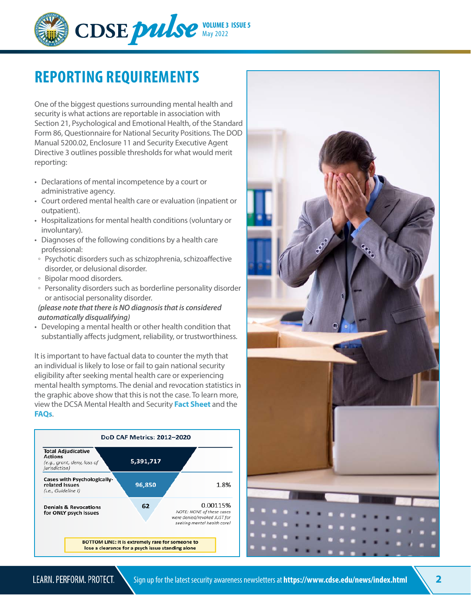

## **REPORTING REQUIREMENTS**

One of the biggest questions surrounding mental health and security is what actions are reportable in association with Section 21, Psychological and Emotional Health, of the Standard Form 86, Questionnaire for National Security Positions. The DOD Manual 5200.02, Enclosure 11 and Security Executive Agent Directive 3 outlines possible thresholds for what would merit reporting:

- Declarations of mental incompetence by a court or administrative agency.
- Court ordered mental health care or evaluation (inpatient or outpatient).
- Hospitalizations for mental health conditions (voluntary or involuntary).
- Diagnoses of the following conditions by a health care professional:
- Psychotic disorders such as schizophrenia, schizoaffective disorder, or delusional disorder.
- Bipolar mood disorders.
- Personality disorders such as borderline personality disorder or antisocial personality disorder.

#### *(please note that there is NO diagnosis that is considered automatically disqualifying)*

• Developing a mental health or other health condition that substantially affects judgment, reliability, or trustworthiness.

It is important to have factual data to counter the myth that an individual is likely to lose or fail to gain national security eligibility after seeking mental health care or experiencing mental health symptoms. The denial and revocation statistics in the graphic above show that this is not the case. To learn more, view the DCSA Mental Health and Security **[Fact Sheet](https://www.dcsa.mil/mc/pv/dod_caf/resources/)** and the **[FAQs](https://www.dcsa.mil/mc/pv/dod_caf/FAQs/)**.



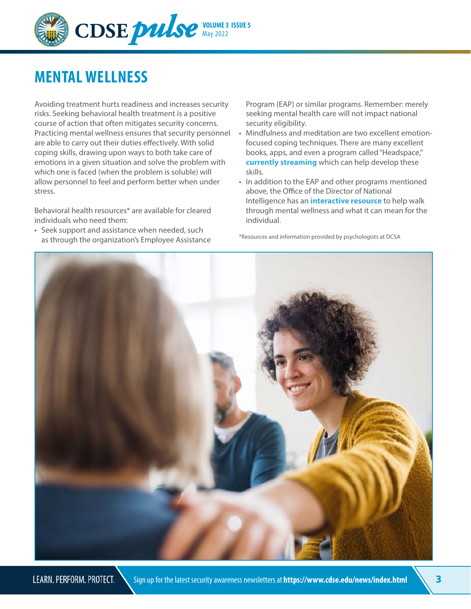

## **MENTAL WELLNESS**

Avoiding treatment hurts readiness and increases security risks. Seeking behavioral health treatment is a positive course of action that often mitigates security concerns. Practicing mental wellness ensures that security personnel are able to carry out their duties effectively. With solid coping skills, drawing upon ways to both take care of emotions in a given situation and solve the problem with which one is faced (when the problem is soluble) will allow personnel to feel and perform better when under stress.

Behavioral health resources\* are available for cleared individuals who need them:

• Seek support and assistance when needed, such as through the organization's Employee Assistance Program (EAP) or similar programs. Remember: merely seeking mental health care will not impact national security eligibility.

- Mindfulness and meditation are two excellent emotionfocused coping techniques. There are many excellent books, apps, and even a program called "Headspace," **[currently streaming](http://www.netflix.com/title/81328829)** which can help develop these skills.
- In addition to the EAP and other programs mentioned above, the Office of the Director of National Intelligence has an **[interactive resource](https://www.dni.gov/ncsc/Mental-Wellness/index.html)** to help walk through mental wellness and what it can mean for the individual.

\*Resources and information provided by psychologists at DCSA

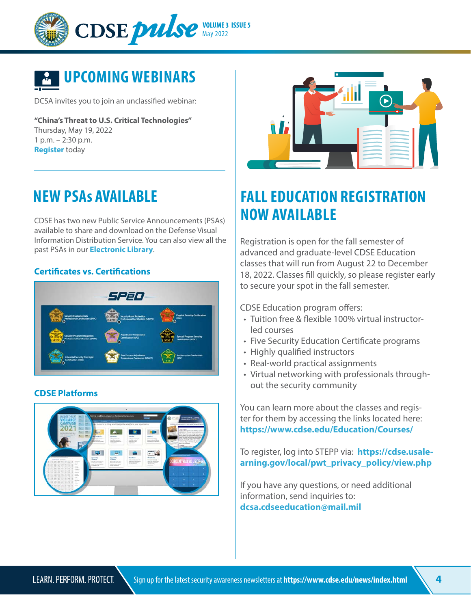



DCSA invites you to join an unclassified webinar:

**"China's Threat to U.S. Critical Technologies"** Thursday, May 19, 2022 1 p.m. – 2:30 p.m. **[Register](https://einvitations.afit.edu/inv/anim.cfm?i=661558&k=0467430C7E5F)** today

## **NEW PSAs AVAILABLE**

CDSE has two new Public Service Announcements (PSAs) available to share and download on the Defense Visual Information Distribution Service. You can also view all the past PSAs in our **[Electronic Library](mailto:https://www.cdse.edu/About-CDSE/CDSE-Electronic-Library/CDSE-Public-Service-Announcements/?subject=)**.

#### **[Certificates vs. Certifications](https://www.dvidshub.net/video/837708/certificates-vs-certifications)**



#### **[CDSE Platforms](https://www.dvidshub.net/video/841348/cdse-platform-psa)**





## **FALL EDUCATION REGISTRATION NOW AVAILABLE**

Registration is open for the fall semester of advanced and graduate-level CDSE Education classes that will run from August 22 to December 18, 2022. Classes fill quickly, so please register early to secure your spot in the fall semester.

CDSE Education program offers:

- Tuition free & flexible 100% virtual instructorled courses
- Five Security Education Certificate programs
- Highly qualified instructors
- Real-world practical assignments
- Virtual networking with professionals throughout the security community

You can learn more about the classes and register for them by accessing the links located here: **<https://www.cdse.edu/Education/Courses/>**

To register, log into STEPP via: **[https://cdse.usale](https://cdse.usalearning.gov/local/pwt_privacy_policy/view.php)[arning.gov/local/pwt\\_privacy\\_policy/view.php](https://cdse.usalearning.gov/local/pwt_privacy_policy/view.php)**

If you have any questions, or need additional information, send inquiries to: **[dcsa.cdseeducation@mail.mil](mailto:dcsa.cdseeducation%40mail.mil?subject=)**